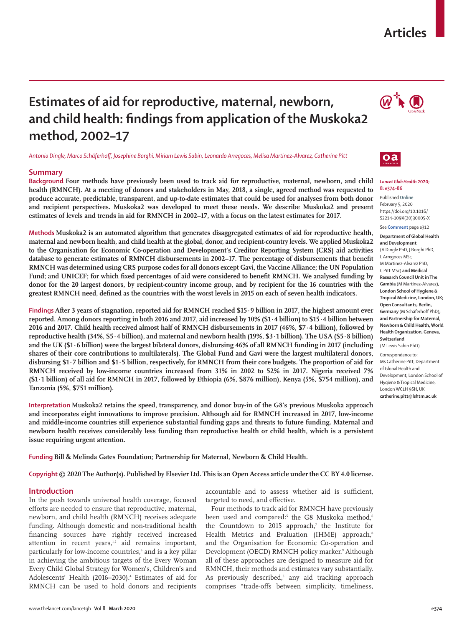## **Articles**

# **Estimates of aid for reproductive, maternal, newborn, and child health: findings from application of the Muskoka2 method, 2002–17**

*Antonia Dingle, Marco Schäferhoff, Josephine Borghi, Miriam Lewis Sabin, Leonardo Arregoces, Melisa Martinez-Alvarez, Catherine Pitt*

## **Summary**

**Background Four methods have previously been used to track aid for reproductive, maternal, newborn, and child health (RMNCH). At a meeting of donors and stakeholders in May, 2018, a single, agreed method was requested to produce accurate, predictable, transparent, and up-to-date estimates that could be used for analyses from both donor and recipient perspectives. Muskoka2 was developed to meet these needs. We describe Muskoka2 and present estimates of levels and trends in aid for RMNCH in 2002–17, with a focus on the latest estimates for 2017.**

**Methods Muskoka2 is an automated algorithm that generates disaggregated estimates of aid for reproductive health, maternal and newborn health, and child health at the global, donor, and recipient-country levels. We applied Muskoka2 to the Organisation for Economic Co-operation and Development's Creditor Reporting System (CRS) aid activities database to generate estimates of RMNCH disbursements in 2002–17. The percentage of disbursements that benefit RMNCH was determined using CRS purpose codes for all donors except Gavi, the Vaccine Alliance; the UN Population Fund; and UNICEF; for which fixed percentages of aid were considered to benefit RMNCH. We analysed funding by donor for the 20 largest donors, by recipient-country income group, and by recipient for the 16 countries with the greatest RMNCH need, defined as the countries with the worst levels in 2015 on each of seven health indicators.**

**Findings After 3 years of stagnation, reported aid for RMNCH reached \$15·9 billion in 2017, the highest amount ever reported. Among donors reporting in both 2016 and 2017, aid increased by 10% (\$1·4 billion) to \$15·4 billion between 2016 and 2017. Child health received almost half of RMNCH disbursements in 2017 (46%, \$7·4 billion), followed by reproductive health (34%, \$5·4 billion), and maternal and newborn health (19%, \$3·1 billion). The USA (\$5·8 billion) and the UK (\$1·6 billion) were the largest bilateral donors, disbursing 46% of all RMNCH funding in 2017 (including shares of their core contributions to multilaterals). The Global Fund and Gavi were the largest multilateral donors, disbursing \$1·7 billion and \$1·5 billion, respectively, for RMNCH from their core budgets. The proportion of aid for RMNCH received by low-income countries increased from 31% in 2002 to 52% in 2017. Nigeria received 7% (\$1·1 billion) of all aid for RMNCH in 2017, followed by Ethiopia (6%, \$876 million), Kenya (5%, \$754 million), and Tanzania (5%, \$751 million).**

**Interpretation Muskoka2 retains the speed, transparency, and donor buy-in of the G8's previous Muskoka approach and incorporates eight innovations to improve precision. Although aid for RMNCH increased in 2017, low-income and middle-income countries still experience substantial funding gaps and threats to future funding. Maternal and newborn health receives considerably less funding than reproductive health or child health, which is a persistent issue requiring urgent attention.**

**Funding Bill & Melinda Gates Foundation; Partnership for Maternal, Newborn & Child Health.**

**Copyright © 2020 The Author(s). Published by Elsevier Ltd. This is an Open Access article under the CC BY 4.0 license.**

#### **Introduction**

In the push towards universal health coverage, focused efforts are needed to ensure that reproductive, maternal, newborn, and child health (RMNCH) receives adequate funding. Although domestic and non-traditional health financing sources have rightly received increased attention in recent years, $1,2$  aid remains important, particularly for low-income countries,<sup>3</sup> and is a key pillar in achieving the ambitious targets of the Every Woman Every Child Global Strategy for Women's, Children's and Adolescents' Health (2016–2030).<sup>4</sup> Estimates of aid for RMNCH can be used to hold donors and recipients

accountable and to assess whether aid is sufficient, targeted to need, and effective.

Four methods to track aid for RMNCH have previously been used and compared:<sup>5</sup> the G8 Muskoka method,<sup>6</sup> the Countdown to 2015 approach,<sup>7</sup> the Institute for Health Metrics and Evaluation (IHME) approach,<sup>8</sup> and the Organisation for Economic Co-operation and Development (OECD) RMNCH policy marker.<sup>9</sup> Although all of these approaches are designed to measure aid for RMNCH, their methods and estimates vary substantially. As previously described,<sup>5</sup> any aid tracking approach comprises "trade-offs between simplicity, timeliness,





#### *Lancet Glob Health* **2020; 8: e374–86**

Published **Online** February 5, 2020 https://doi.org/10.1016/ S2214-109X(20)30005-X

See **Comment** page e312

#### **Department of Global Health and Development**  (A Dingle PhD, J Borghi PhD, L Arregoces MSc, M Martinez-Alvarez PhD, C Pitt MSc) **and Medical Research Council Unit in The Gambia** (M Martinez-Alvarez)**, London School of Hygiene & Tropical Medicine, London, UK; Open Consultants, Berlin, Germany** (M Schäferhoff PhD)**; and Partnership for Maternal, Newborn & Child Health, World Health Organization, Geneva, Switzerland**

(M Lewis Sabin PhD)

Correspondence to: Ms Catherine Pitt, Department of Global Health and Development, London School of Hygiene & Tropical Medicine, London WC1H 9SH, UK **catherine.pitt@lshtm.ac.uk**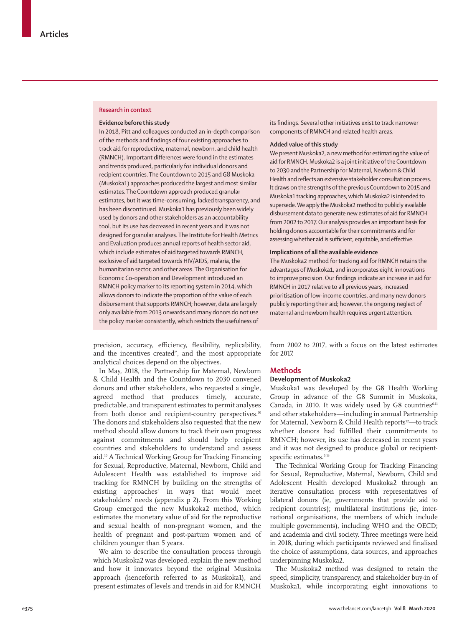#### **Research in context**

#### **Evidence before this study**

In 2018, Pitt and colleagues conducted an in-depth comparison of the methods and findings of four existing approaches to track aid for reproductive, maternal, newborn, and child health (RMNCH). Important differences were found in the estimates and trends produced, particularly for individual donors and recipient countries. The Countdown to 2015 and G8 Muskoka (Muskoka1) approaches produced the largest and most similar estimates. The Countdown approach produced granular estimates, but it was time-consuming, lacked transparency, and has been discontinued. Muskoka1 has previously been widely used by donors and other stakeholders as an accountability tool, but its use has decreased in recent years and it was not designed for granular analyses. The Institute for Health Metrics and Evaluation produces annual reports of health sector aid, which include estimates of aid targeted towards RMNCH, exclusive of aid targeted towards HIV/AIDS, malaria, the humanitarian sector, and other areas. The Organisation for Economic Co-operation and Development introduced an RMNCH policy marker to its reporting system in 2014, which allows donors to indicate the proportion of the value of each disbursement that supports RMNCH; however, data are largely only available from 2013 onwards and many donors do not use the policy marker consistently, which restricts the usefulness of

precision, accuracy, efficiency, flexibility, replicability, and the incentives created", and the most appropriate analytical choices depend on the objectives.

In May, 2018, the Partnership for Maternal, Newborn & Child Health and the Countdown to 2030 convened donors and other stakeholders, who requested a single, agreed method that produces timely, accurate, predictable, and transparent estimates to permit analyses from both donor and recipient-country perspectives.<sup>10</sup> The donors and stakeholders also requested that the new method should allow donors to track their own progress against commitments and should help recipient countries and stakeholders to understand and assess aid.10 A Technical Working Group for Tracking Financing for Sexual, Reproductive, Maternal, Newborn, Child and Adolescent Health was established to improve aid tracking for RMNCH by building on the strengths of existing approaches<sup>5</sup> in ways that would meet stakeholders' needs (appendix p 2). From this Working Group emerged the new Muskoka2 method, which estimates the monetary value of aid for the reproductive and sexual health of non-pregnant women, and the health of pregnant and post-partum women and of children younger than 5 years.

We aim to describe the consultation process through which Muskoka2 was developed, explain the new method and how it innovates beyond the original Muskoka approach (henceforth referred to as Muskoka1), and present estimates of levels and trends in aid for RMNCH its findings. Several other initiatives exist to track narrower components of RMNCH and related health areas.

#### **Added value of this study**

We present Muskoka2, a new method for estimating the value of aid for RMNCH. Muskoka2 is a joint initiative of the Countdown to 2030 and the Partnership for Maternal, Newborn & Child Health and reflects an extensive stakeholder consultation process. It draws on the strengths of the previous Countdown to 2015 and Muskoka1 tracking approaches, which Muskoka2 is intended to supersede. We apply the Muskoka2 method to publicly available disbursement data to generate new estimates of aid for RMNCH from 2002 to 2017. Our analysis provides an important basis for holding donors accountable for their commitments and for assessing whether aid is sufficient, equitable, and effective.

#### **Implications of all the available evidence**

The Muskoka2 method for tracking aid for RMNCH retains the advantages of Muskoka1, and incorporates eight innovations to improve precision. Our findings indicate an increase in aid for RMNCH in 2017 relative to all previous years, increased prioritisation of low-income countries, and many new donors publicly reporting their aid; however, the ongoing neglect of maternal and newborn health requires urgent attention.

from 2002 to 2017, with a focus on the latest estimates for 2017.

## **Methods**

## **Development of Muskoka2**

Muskoka1 was developed by the G8 Health Working Group in advance of the G8 Summit in Muskoka, Canada, in 2010. It was widely used by G8 countries $6,11$ and other stakeholders—including in annual Partnership for Maternal, Newborn & Child Health reports<sup>12</sup>—to track whether donors had fulfilled their commitments to RMNCH; however, its use has decreased in recent years and it was not designed to produce global or recipientspecific estimates.<sup>5,13</sup>

The Technical Working Group for Tracking Financing for Sexual, Reproductive, Maternal, Newborn, Child and Adolescent Health developed Muskoka2 through an iterative consultation process with representatives of bilateral donors (ie, governments that provide aid to recipient countries); multilateral institutions (ie, international organisations, the members of which include multiple governments), including WHO and the OECD; and academia and civil society. Three meetings were held in 2018, during which participants reviewed and finalised the choice of assumptions, data sources, and approaches underpinning Muskoka2.

The Muskoka2 method was designed to retain the speed, simplicity, transparency, and stakeholder buy-in of Muskoka1, while incorporating eight innovations to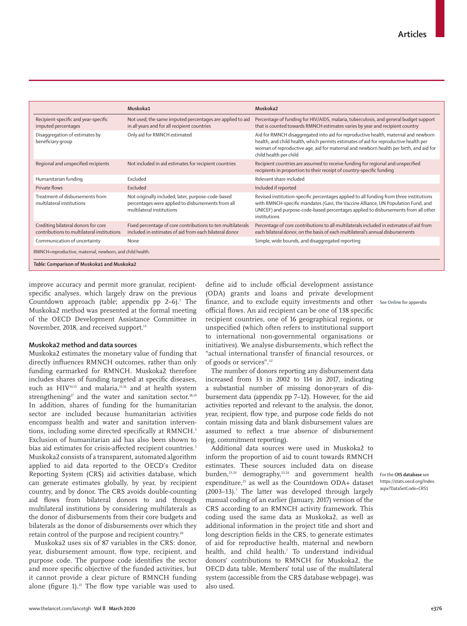|                                                                                   | Muskoka1                                                                                                                              | Muskoka2                                                                                                                                                                                                                                                                                      |  |  |  |  |  |
|-----------------------------------------------------------------------------------|---------------------------------------------------------------------------------------------------------------------------------------|-----------------------------------------------------------------------------------------------------------------------------------------------------------------------------------------------------------------------------------------------------------------------------------------------|--|--|--|--|--|
| Recipient-specific and year-specific<br>imputed percentages                       | Not used; the same imputed percentages are applied to aid<br>in all years and for all recipient countries                             | Percentage of funding for HIV/AIDS, malaria, tuberculosis, and general budget support<br>that is counted towards RMNCH estimates varies by year and recipient country                                                                                                                         |  |  |  |  |  |
| Disaggregation of estimates by<br>beneficiary group                               | Only aid for RMNCH estimated                                                                                                          | Aid for RMNCH disaggregated into aid for reproductive health, maternal and newborn<br>health, and child health, which permits estimates of aid for reproductive health per<br>woman of reproductive age, aid for maternal and newborn health per birth, and aid for<br>child health per child |  |  |  |  |  |
| Regional and unspecified recipients                                               | Not included in aid estimates for recipient countries                                                                                 | Recipient countries are assumed to receive funding for regional and unspecified<br>recipients in proportion to their receipt of country-specific funding                                                                                                                                      |  |  |  |  |  |
| Humanitarian funding                                                              | Excluded                                                                                                                              | Relevant share included                                                                                                                                                                                                                                                                       |  |  |  |  |  |
| Private flows                                                                     | Excluded                                                                                                                              | Included if reported                                                                                                                                                                                                                                                                          |  |  |  |  |  |
| Treatment of disbursements from<br>multilateral institutions                      | Not originally included; later, purpose-code-based<br>percentages were applied to disbursements from all<br>multilateral institutions | Revised institution-specific percentages applied to all funding from three institutions<br>with RMNCH-specific mandates (Gavi, the Vaccine Alliance, UN Population Fund, and<br>UNICEF) and purpose-code-based percentages applied to disbursements from all other<br>institutions            |  |  |  |  |  |
| Crediting bilateral donors for core<br>contributions to multilateral institutions | Fixed percentage of core contributions to ten multilaterals<br>included in estimates of aid from each bilateral donor                 | Percentage of core contributions to all multilaterals included in estimates of aid from<br>each bilateral donor, on the basis of each multilateral's annual disbursements                                                                                                                     |  |  |  |  |  |
| Communication of uncertainty                                                      | None                                                                                                                                  | Simple, wide bounds, and disaggregated reporting                                                                                                                                                                                                                                              |  |  |  |  |  |
| RMNCH=reproductive, maternal, newborn, and child health.                          |                                                                                                                                       |                                                                                                                                                                                                                                                                                               |  |  |  |  |  |
| Table: Comparison of Muskoka1 and Muskoka2                                        |                                                                                                                                       |                                                                                                                                                                                                                                                                                               |  |  |  |  |  |

improve accuracy and permit more granular, recipientspecific analyses, which largely draw on the previous Countdown approach (table; appendix pp 2–6).<sup>7</sup> The Muskoka2 method was presented at the formal meeting of the OECD Development Assistance Committee in November, 2018, and received support.<sup>13</sup>

## **Muskoka2 method and data sources**

Muskoka2 estimates the monetary value of funding that directly influences RMNCH outcomes, rather than only funding earmarked for RMNCH. Muskoka2 therefore includes shares of funding targeted at specific diseases, such as HIV<sup>14,15</sup> and malaria,<sup>15,16</sup> and at health system strengthening<sup>17</sup> and the water and sanitation sector.<sup>18,19</sup> In addition, shares of funding for the humanitarian sector are included because humanitarian activities encompass health and water and sanitation interventions, including some directed specifically at RMNCH.<sup>5</sup> Exclusion of humanitarian aid has also been shown to bias aid estimates for crisis-affected recipient countries.<sup>5</sup> Muskoka2 consists of a transparent, automated algorithm applied to aid data reported to the OECD's Creditor Reporting System (CRS) [aid activities database,](https://stats.oecd.org/Index.aspx?DataSetCode=CRS1) which can generate estimates globally, by year, by recipient country, and by donor. The CRS avoids double-counting aid flows from bilateral donors to and through multilateral institutions by considering multilaterals as the donor of disbursements from their core budgets and bilaterals as the donor of disbursements over which they retain control of the purpose and recipient country.<sup>20</sup>

Muskoka2 uses six of 87 variables in the CRS: donor, year, disbursement amount, flow type, recipient, and purpose code. The purpose code identifies the sector and more specific objective of the funded activities, but it cannot provide a clear picture of RMNCH funding alone (figure 1).<sup>21</sup> The flow type variable was used to define aid to include official development assistance (ODA) grants and loans and private development finance, and to exclude equity investments and other See **Online** for appendix official flows. An aid recipient can be one of 138 specific recipient countries, one of 16 geographical regions, or unspecified (which often refers to institutional support to international non-governmental organisations or initiatives). We analyse disbursements, which reflect the "actual international transfer of financial resources, or of goods or services".22

The number of donors reporting any disbursement data increased from 33 in 2002 to 114 in 2017, indicating a substantial number of missing donor-years of disbursement data (appendix pp 7–12). However, for the aid activities reported and relevant to the analysis, the donor, year, recipient, flow type, and purpose code fields do not contain missing data and blank disbursement values are assumed to reflect a true absence of disbursement (eg, commitment reporting).

Additional data sources were used in Muskoka2 to inform the proportion of aid to count towards RMNCH estimates. These sources included data on disease burden,23,24 demography,23,24 and government health expenditure,<sup>25</sup> as well as the Countdown ODA+ dataset (2003-13).<sup>7</sup> The latter was developed through largely manual coding of an earlier (January, 2017) version of the CRS according to an RMNCH activity framework. This coding used the same data as Muskoka2, as well as additional information in the project title and short and long description fields in the CRS, to generate estimates of aid for reproductive health, maternal and newborn health, and child health.7 To understand individual donors' contributions to RMNCH for Muskoka2, the OECD data table, Members' total use of the multilateral system (accessible from the CRS database webpage), was also used.

For the **CRS database** see [https://stats.oecd.org/Index.](https://stats.oecd.org/Index.aspx?DataSetCode=CRS1) [aspx?DataSetCode=CRS1](https://stats.oecd.org/Index.aspx?DataSetCode=CRS1)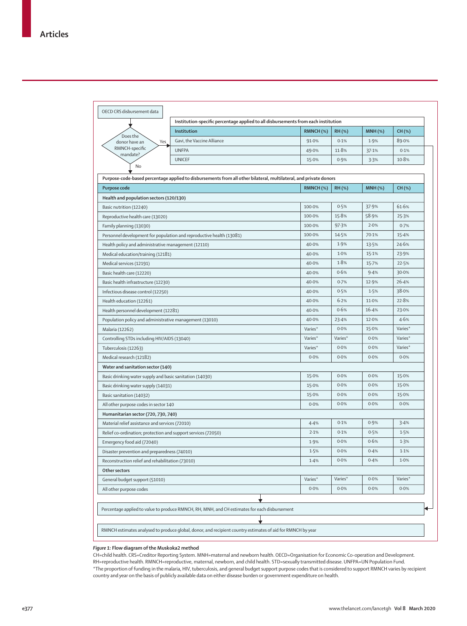|                                                                      | Institution                                                                                                       | RMNCH (%) | <b>RH(%)</b>  | <b>MNH (%)</b> | CH (%)  |
|----------------------------------------------------------------------|-------------------------------------------------------------------------------------------------------------------|-----------|---------------|----------------|---------|
| Does the<br>Yes<br>donor have an                                     | Gavi, the Vaccine Alliance                                                                                        | 91.0%     | 0.1%          | 1.9%           | 89.0%   |
| RMNCH-specific                                                       | <b>UNFPA</b>                                                                                                      | 49.0%     | 11.8%         | 37.1%          | 0.1%    |
| mandate?                                                             | <b>UNICEF</b>                                                                                                     | 15.0%     | 0.9%          | 3.3%           | 10.8%   |
| No                                                                   |                                                                                                                   |           |               |                |         |
|                                                                      | Purpose-code-based percentage applied to disbursements from all other bilateral, multilateral, and private donors |           |               |                |         |
| Purpose code                                                         |                                                                                                                   | RMNCH (%) | <b>RH (%)</b> | $MNH$ $(\%)$   | CH (%)  |
| Health and population sectors (120/130)                              |                                                                                                                   |           |               |                |         |
| Basic nutrition (12240)                                              |                                                                                                                   | 100.0%    | 0.5%          | 37.9%          | 61.6%   |
| Reproductive health care (13020)                                     |                                                                                                                   | 100.0%    | 15.8%         | 58.9%          | 25.3%   |
| Family planning (13030)                                              |                                                                                                                   | 100.0%    | 97.3%         | 2.0%           | 0.7%    |
| Personnel development for population and reproductive health (13081) |                                                                                                                   | 100.0%    | 14.5%         | 70.1%          | 15.4%   |
| Health policy and administrative management (12110)                  |                                                                                                                   | 40.0%     | 1.9%          | 13.5%          | 24.6%   |
| Medical education/training (12181)                                   |                                                                                                                   | 40.0%     | 1.0%          | 15.1%          | 23.9%   |
| Medical services (12191)                                             |                                                                                                                   | 40.0%     | 1.8%          | 15.7%          | 22.5%   |
| Basic health care (12220)                                            |                                                                                                                   | 40.0%     | 0.6%          | 9.4%           | 30.0%   |
| Basic health infrastructure (12230)                                  |                                                                                                                   | 40.0%     | 0.7%          | 12.9%          | 26.4%   |
| Infectious disease control (12250)                                   |                                                                                                                   | 40.0%     | 0.5%          | 1.5%           | 38.0%   |
| Health education (12261)                                             |                                                                                                                   | 40.0%     | 6.2%          | 11.0%          | 22.8%   |
| Health personnel development (12281)                                 |                                                                                                                   | 40.0%     | 0.6%          | 16.4%          | 23.0%   |
| Population policy and administrative management (13010)              |                                                                                                                   | 40.0%     | 23.4%         | 12.0%          | 4.6%    |
| Malaria (12262)                                                      |                                                                                                                   | Varies*   | 0.0%          | 15.0%          | Varies* |
| Controlling STDs including HIV/AIDS (13040)                          |                                                                                                                   | Varies*   | Varies*       | 0.0%           | Varies* |
| Tuberculosis (12263)                                                 |                                                                                                                   | Varies*   | 0.0%          | 0.0%           | Varies* |
| Medical research (12182)                                             |                                                                                                                   | 0.0%      | 0.0%          | 0.0%           | 0.0%    |
| Water and sanitation sector (140)                                    |                                                                                                                   |           |               |                |         |
| Basic drinking water supply and basic sanitation (14030)             |                                                                                                                   | 15.0%     | 0.0%          | 0.0%           | 15.0%   |
| Basic drinking water supply (14031)                                  |                                                                                                                   | 15.0%     | 0.0%          | 0.0%           | 15.0%   |
| Basic sanitation (14032)                                             |                                                                                                                   | 15.0%     | 0.0%          | 0.0%           | 15.0%   |
| All other purpose codes in sector 140                                |                                                                                                                   | 0.0%      | 0.0%          | 0.0%           | 0.0%    |
| Humanitarian sector (720, 730, 740)                                  |                                                                                                                   |           |               |                |         |
| Material relief assistance and services (72010)                      |                                                                                                                   | 4.4%      | 0.1%          | 0.9%           | 3.4%    |
| Relief co-ordination; protection and support services (72050)        |                                                                                                                   | 2.1%      | 0.1%          | 0.5%           | 1.5%    |
| Emergency food aid (72040)                                           |                                                                                                                   | 1.9%      | 0.0%          | 0.6%           | 1.3%    |
| Disaster prevention and preparedness (74010)                         |                                                                                                                   | 1.5%      | 0.0%          | 0.4%           | 1.1%    |
| Reconstruction relief and rehabilitation (73010)                     |                                                                                                                   | 1.4%      | 0.0%          | 0.4%           | 1.0%    |
| Other sectors                                                        |                                                                                                                   |           |               |                |         |
| General budget support (51010)                                       |                                                                                                                   | Varies*   | Varies*       | 0.0%           | Varies* |
| All other purpose codes                                              |                                                                                                                   | 0.0%      | 0.0%          | 0.0%           | 0.0%    |
|                                                                      |                                                                                                                   |           |               |                |         |
|                                                                      | Percentage applied to value to produce RMNCH, RH, MNH, and CH estimates for each disbursement                     |           |               |                |         |

#### *Figure 1:* **Flow diagram of the Muskoka2 method**

CH=child health. CRS=Creditor Reporting System. MNH=maternal and newborn health. OECD=Organisation for Economic Co-operation and Development. RH=reproductive health. RMNCH=reproductive, maternal, newborn, and child health. STD=sexually transmitted disease. UNFPA=UN Population Fund. \*The proportion of funding in the malaria, HIV, tuberculosis, and general budget support purpose codes that is considered to support RMNCH varies by recipient country and year on the basis of publicly available data on either disease burden or government expenditure on health.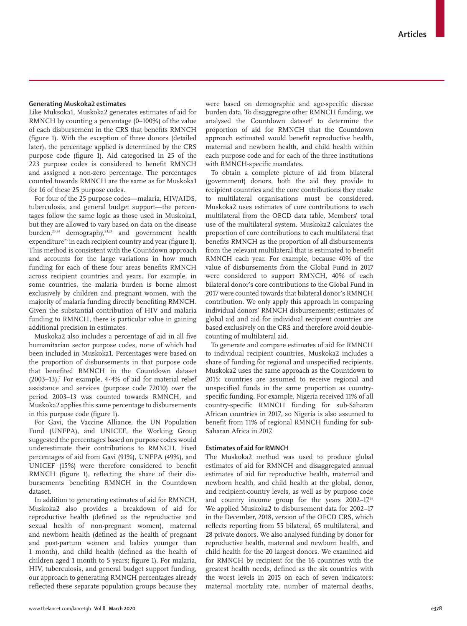## **Generating Muskoka2 estimates**

Like Muksoka1, Muskoka2 generates estimates of aid for RMNCH by counting a percentage (0–100%) of the value of each disbursement in the CRS that benefits RMNCH (figure 1). With the exception of three donors (detailed later), the percentage applied is determined by the CRS purpose code (figure 1). Aid categorised in 25 of the 223 purpose codes is considered to benefit RMNCH and assigned a non-zero percentage. The percentages counted towards RMNCH are the same as for Muskoka1 for 16 of these 25 purpose codes.

For four of the 25 purpose codes—malaria, HIV/AIDS, tuberculosis, and general budget support—the percentages follow the same logic as those used in Muskoka1, but they are allowed to vary based on data on the disease burden,<sup>23,24</sup> demography,<sup>23,24</sup> and government health expenditure<sup>25</sup> in each recipient country and year (figure 1). This method is consistent with the Countdown approach and accounts for the large variations in how much funding for each of these four areas benefits RMNCH across recipient countries and years. For example, in some countries, the malaria burden is borne almost exclusively by children and pregnant women, with the majority of malaria funding directly benefiting RMNCH. Given the substantial contribution of HIV and malaria funding to RMNCH, there is particular value in gaining additional precision in estimates.

Muskoka2 also includes a percentage of aid in all five humanitarian sector purpose codes, none of which had been included in Muskoka1. Percentages were based on the proportion of disbursements in that purpose code that benefited RMNCH in the Countdown dataset  $(2003-13)$ .<sup>7</sup> For example, 4 $\cdot$ 4% of aid for material relief assistance and services (purpose code 72010) over the period 2003–13 was counted towards RMNCH, and Muskoka2 applies this same percentage to disbursements in this purpose code (figure 1).

For Gavi, the Vaccine Alliance, the UN Population Fund (UNFPA), and UNICEF, the Working Group suggested the percentages based on purpose codes would underestimate their contributions to RMNCH. Fixed percentages of aid from Gavi (91%), UNFPA (49%), and UNICEF (15%) were therefore considered to benefit RMNCH (figure 1), reflecting the share of their disbursements benefiting RMNCH in the Countdown dataset.

In addition to generating estimates of aid for RMNCH, Muskoka2 also provides a breakdown of aid for reproductive health (defined as the reproductive and sexual health of non-pregnant women), maternal and newborn health (defined as the health of pregnant and post-partum women and babies younger than 1 month), and child health (defined as the health of children aged 1 month to 5 years; figure 1). For malaria, HIV, tuberculosis, and general budget support funding, our approach to generating RMNCH percentages already reflected these separate population groups because they were based on demographic and age-specific disease burden data. To disaggregate other RMNCH funding, we analysed the Countdown dataset<sup>7</sup> to determine the proportion of aid for RMNCH that the Countdown approach estimated would benefit reproductive health, maternal and newborn health, and child health within each purpose code and for each of the three institutions with RMNCH-specific mandates.

To obtain a complete picture of aid from bilateral (government) donors, both the aid they provide to recipient countries and the core contributions they make to multilateral organisations must be considered. Muskoka2 uses estimates of core contributions to each multilateral from the OECD data table, Members' total use of the multilateral system. Muskoka2 calculates the proportion of core contributions to each multilateral that benefits RMNCH as the proportion of all disbursements from the relevant multilateral that is estimated to benefit RMNCH each year. For example, because 40% of the value of disbursements from the Global Fund in 2017 were considered to support RMNCH, 40% of each bilateral donor's core contributions to the Global Fund in 2017 were counted towards that bilateral donor's RMNCH contribution. We only apply this approach in comparing individual donors' RMNCH disbursements; estimates of global aid and aid for individual recipient countries are based exclusively on the CRS and therefore avoid doublecounting of multilateral aid.

To generate and compare estimates of aid for RMNCH to individual recipient countries, Muskoka2 includes a share of funding for regional and unspecified recipients. Muskoka2 uses the same approach as the Countdown to 2015; countries are assumed to receive regional and unspecified funds in the same proportion as countryspecific funding. For example, Nigeria received 11% of all country-specific RMNCH funding for sub-Saharan African countries in 2017, so Nigeria is also assumed to benefit from 11% of regional RMNCH funding for sub-Saharan Africa in 2017.

## **Estimates of aid for RMNCH**

The Muskoka2 method was used to produce global estimates of aid for RMNCH and disaggregated annual estimates of aid for reproductive health, maternal and newborn health, and child health at the global, donor, and recipient-country levels, as well as by purpose code and country income group for the years  $2002-17^{26}$ We applied Muskoka2 to disbursement data for 2002–17 in the December, 2018, version of the OECD CRS, which reflects reporting from 55 bilateral, 65 multilateral, and 28 private donors. We also analysed funding by donor for reproductive health, maternal and newborn health, and child health for the 20 largest donors. We examined aid for RMNCH by recipient for the 16 countries with the greatest health needs, defined as the six countries with the worst levels in 2015 on each of seven indicators: maternal mortality rate, number of maternal deaths,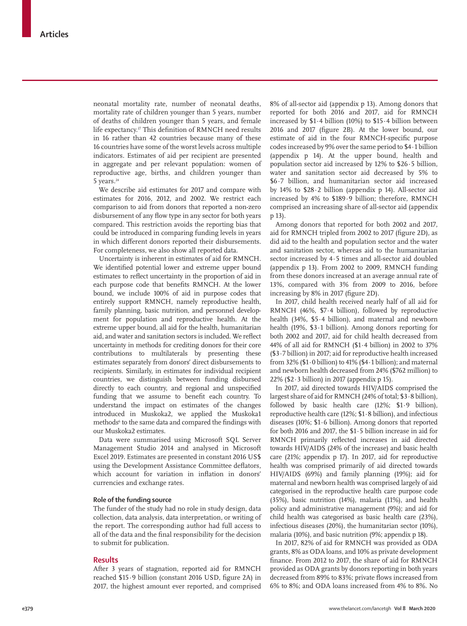neonatal mortality rate, number of neonatal deaths, mortality rate of children younger than 5 years, number of deaths of children younger than 5 years, and female life expectancy.<sup>27</sup> This definition of RMNCH need results in 16 rather than 42 countries because many of these 16 countries have some of the worst levels across multiple indicators. Estimates of aid per recipient are presented in aggregate and per relevant population: women of reproductive age, births, and children younger than 5 years.<sup>24</sup>

We describe aid estimates for 2017 and compare with estimates for 2016, 2012, and 2002. We restrict each comparison to aid from donors that reported a non-zero disbursement of any flow type in any sector for both years compared. This restriction avoids the reporting bias that could be introduced in comparing funding levels in years in which different donors reported their disbursements. For completeness, we also show all reported data.

Uncertainty is inherent in estimates of aid for RMNCH. We identified potential lower and extreme upper bound estimates to reflect uncertainty in the proportion of aid in each purpose code that benefits RMNCH. At the lower bound, we include 100% of aid in purpose codes that entirely support RMNCH, namely reproductive health, family planning, basic nutrition, and personnel development for population and reproductive health. At the extreme upper bound, all aid for the health, humanitarian aid, and water and sanitation sectors is included. We reflect uncertainty in methods for crediting donors for their core contributions to multilaterals by presenting these estimates separately from donors' direct disbursements to recipients. Similarly, in estimates for individual recipient countries, we distinguish between funding disbursed directly to each country, and regional and unspecified funding that we assume to benefit each country. To understand the impact on estimates of the changes introduced in Muskoka2, we applied the Muskoka1 methods<sup>6</sup> to the same data and compared the findings with our Muskoka2 estimates.

Data were summarised using Microsoft SQL Server Management Studio 2014 and analysed in Microsoft Excel 2019. Estimates are presented in constant 2016 US\$ using the Development Assistance Committee deflators, which account for variation in inflation in donors' currencies and exchange rates.

## **Role of the funding source**

The funder of the study had no role in study design, data collection, data analysis, data interpretation, or writing of the report. The corresponding author had full access to all of the data and the final responsibility for the decision to submit for publication.

#### **Results**

After 3 years of stagnation, reported aid for RMNCH reached \$15·9 billion (constant 2016 USD, figure 2A) in 2017, the highest amount ever reported, and comprised 8% of all-sector aid (appendix p 13). Among donors that reported for both 2016 and 2017, aid for RMNCH increased by \$1·4 billion (10%) to \$15·4 billion between 2016 and 2017 (figure 2B). At the lower bound, our estimate of aid in the four RMNCH-specific purpose codes increased by 9% over the same period to \$4·1 billion (appendix p 14). At the upper bound, health and population sector aid increased by 12% to \$26·5 billion, water and sanitation sector aid decreased by 5% to \$6·7 billion, and humanitarian sector aid increased by  $14\%$  to  $$28.2$  billion (appendix p 14). All-sector aid increased by 4% to \$189·9 billion; therefore, RMNCH comprised an increasing share of all-sector aid (appendix p 13).

Among donors that reported for both 2002 and 2017, aid for RMNCH tripled from 2002 to 2017 (figure 2D), as did aid to the health and population sector and the water and sanitation sector, whereas aid to the humanitarian sector increased by 4·5 times and all-sector aid doubled (appendix p 13). From 2002 to 2009, RMNCH funding from these donors increased at an average annual rate of 13%, compared with 3% from 2009 to 2016, before increasing by 8% in 2017 (figure 2D).

In 2017, child health received nearly half of all aid for RMNCH (46%, \$7·4 billion), followed by reproductive health (34%, \$5·4 billion), and maternal and newborn health (19%, \$3·1 billion). Among donors reporting for both 2002 and 2017, aid for child health decreased from 44% of all aid for RMNCH (\$1·4 billion) in 2002 to 37% (\$3·7 billion) in 2017; aid for reproductive health increased from  $32\%$  (\$1 $\cdot$ 0 billion) to 41% (\$4 $\cdot$ 1 billion); and maternal and newborn health decreased from 24% (\$762 million) to 22% (\$2 $\cdot$ 3 billion) in 2017 (appendix p 15).

In 2017, aid directed towards HIV/AIDS comprised the largest share of aid for RMNCH (24% of total; \$3·8 billion), followed by basic health care (12%; \$1·9 billion), reproductive health care (12%; \$1·8 billion), and infectious diseases (10%; \$1·6 billion). Among donors that reported for both 2016 and 2017, the \$1·5 billion increase in aid for RMNCH primarily reflected increases in aid directed towards HIV/AIDS (24% of the increase) and basic health care (21%; appendix p 17). In 2017, aid for reproductive health was comprised primarily of aid directed towards HIV/AIDS (69%) and family planning (19%); aid for maternal and newborn health was comprised largely of aid categorised in the reproductive health care purpose code (35%), basic nutrition (14%), malaria (11%), and health policy and administrative management (9%); and aid for child health was categorised as basic health care (23%), infectious diseases (20%), the humanitarian sector (10%), malaria (10%), and basic nutrition (9%; appendix p 18).

In 2017, 82% of aid for RMNCH was provided as ODA grants, 8% as ODA loans, and 10% as private development finance. From 2012 to 2017, the share of aid for RMNCH provided as ODA grants by donors reporting in both years decreased from 89% to 83%; private flows increased from 6% to 8%; and ODA loans increased from 4% to 8%. No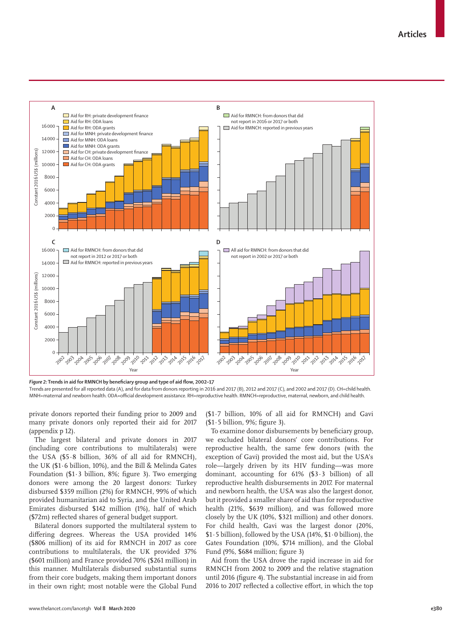

*Figure 2:* **Trends in aid for RMNCH by beneficiary group and type of aid flow, 2002–17**

Trends are presented for all reported data (A), and for data from donors reporting in 2016 and 2017 (B), 2012 and 2017 (C), and 2002 and 2017 (D). CH=child health. MNH=maternal and newborn health. ODA=official development assistance. RH=reproductive health. RMNCH=reproductive, maternal, newborn, and child health.

private donors reported their funding prior to 2009 and many private donors only reported their aid for 2017 (appendix p 12).

The largest bilateral and private donors in 2017 (including core contributions to multilaterals) were the USA (\$5·8 billion, 36% of all aid for RMNCH), the UK (\$1·6 billion, 10%), and the Bill & Melinda Gates Foundation ( $$1·3$  billion,  $8\%$ ; figure 3). Two emerging donors were among the 20 largest donors: Turkey disbursed \$359 million (2%) for RMNCH, 99% of which provided humanitarian aid to Syria, and the United Arab Emirates disbursed \$142 million (1%), half of which (\$72m) reflected shares of general budget support.

Bilateral donors supported the multilateral system to differing degrees. Whereas the USA provided 14% (\$806 million) of its aid for RMNCH in 2017 as core contributions to multilaterals, the UK provided 37% (\$601 million) and France provided 70% (\$261 million) in this manner. Multilaterals disbursed substantial sums from their core budgets, making them important donors in their own right; most notable were the Global Fund (\$1·7 billion, 10% of all aid for RMNCH) and Gavi (\$1·5 billion, 9%; figure 3).

To examine donor disbursements by beneficiary group, we excluded bilateral donors' core contributions. For reproductive health, the same few donors (with the exception of Gavi) provided the most aid, but the USA's role—largely driven by its HIV funding—was more dominant, accounting for 61% (\$3·3 billion) of all reproductive health disbursements in 2017. For maternal and newborn health, the USA was also the largest donor, but it provided a smaller share of aid than for reproductive health (21%, \$639 million), and was followed more closely by the UK (10%, \$321 million) and other donors. For child health, Gavi was the largest donor (20%, \$1·5 billion), followed by the USA (14%, \$1·0 billion), the Gates Foundation (10%, \$714 million), and the Global Fund (9%, \$684 million; figure 3)

Aid from the USA drove the rapid increase in aid for RMNCH from 2002 to 2009 and the relative stagnation until 2016 (figure 4). The substantial increase in aid from 2016 to 2017 reflected a collective effort, in which the top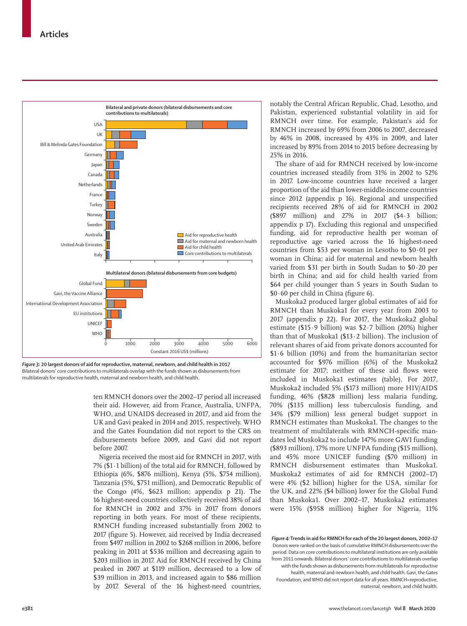

*Figure 3:* **20 largest donors of aid for reproductive, maternal, newborn, and child health in 2017** Bilateral donors' core contributions to multilaterals overlap with the funds shown as disbursements from multilaterals for reproductive health, maternal and newborn health, and child health.

ten RMNCH donors over the 2002–17 period all increased their aid. However, aid from France, Australia, UNFPA, WHO, and UNAIDS decreased in 2017, and aid from the UK and Gavi peaked in 2014 and 2015, respectively. WHO and the Gates Foundation did not report to the CRS on disbursements before 2009, and Gavi did not report before 2007.

Nigeria received the most aid for RMNCH in 2017, with 7% (\$1·1 billion) of the total aid for RMNCH, followed by Ethiopia (6%, \$876 million), Kenya (5%, \$754 million), Tanzania (5%, \$751 million), and Democratic Republic of the Congo (4%, \$623 million; appendix p 21). The 16 highest-need countries collectively received 38% of aid for RMNCH in 2002 and 37% in 2017 from donors reporting in both years. For most of these recipients, RMNCH funding increased substantially from 2002 to 2017 (figure 5). However, aid received by India decreased from \$497 million in 2002 to \$268 million in 2006, before peaking in 2011 at \$536 million and decreasing again to \$203 million in 2017. Aid for RMNCH received by China peaked in 2007 at \$119 million, decreased to a low of \$39 million in 2013, and increased again to \$86 million by 2017. Several of the 16 highest-need countries,

notably the Central African Republic, Chad, Lesotho, and Pakistan, experienced substantial volatility in aid for RMNCH over time. For example, Pakistan's aid for RMNCH increased by 69% from 2006 to 2007, decreased by 46% in 2008, increased by 43% in 2009, and later increased by 89% from 2014 to 2015 before decreasing by 25% in 2016.

The share of aid for RMNCH received by low-income countries increased steadily from 31% in 2002 to 52% in 2017. Low-income countries have received a larger proportion of the aid than lower-middle-income countries since 2012 (appendix p 16). Regional and unspecified recipients received 28% of aid for RMNCH in 2002 (\$897 million) and 27% in 2017 (\$4·3 billion; appendix p 17). Excluding this regional and unspecified funding, aid for reproductive health per woman of reproductive age varied across the 16 highest-need countries from \$53 per woman in Lesotho to  $$0.01$  per woman in China; aid for maternal and newborn health varied from \$31 per birth in South Sudan to \$0·20 per birth in China; and aid for child health varied from \$64 per child younger than 5 years in South Sudan to \$0·60 per child in China (figure 6).

Muskoka2 produced larger global estimates of aid for RMNCH than Muskoka1 for every year from 2003 to 2017 (appendix p 22). For 2017, the Muskoka2 global estimate (\$15·9 billion) was \$2·7 billion (20%) higher than that of Muskoka1 (\$13·2 billion). The inclusion of relevant shares of aid from private donors accounted for \$1·6 billion (10%) and from the humanitarian sector accounted for \$976 million (6%) of the Muskoka2 estimate for 2017; neither of these aid flows were included in Muskoka1 estimates (table). For 2017, Muskoka2 included 5% (\$173 million) more HIV/AIDS funding, 46% (\$828 million) less malaria funding, 70% (\$135 million) less tuberculosis funding, and 34% (\$79 million) less general budget support in RMNCH estimates than Muskoka1. The changes to the treatment of multilaterals with RMNCH-specific mandates led Muskoka2 to include 147% more GAVI funding (\$893 million), 17% more UNFPA funding (\$15 million), and 45% more UNICEF funding (\$70 million) in RMNCH disbursement estimates than Muskoka1. Muskoka2 estimates of aid for RMNCH (2002–17) were 4% (\$2 billion) higher for the USA, similar for the UK, and 22% (\$4 billion) lower for the Global Fund than Muskoka1. Over 2002–17, Muskoka2 estimates were 15% (\$958 million) higher for Nigeria, 11%

*Figure 4:* **Trends in aid for RMNCH for each of the 20 largest donors, 2002–17** Donors were ranked on the basis of cumulative RMNCH disbursements over the period. Data on core contributions to multilateral institutions are only available from 2011 onwards. Bilateral donors' core contributions to multilaterals overlap with the funds shown as disbursements from multilaterals for reproductive health, maternal and newborn health, and child health. Gavi, the Gates Foundation, and WHO did not report data for all years. RMNCH=reproductive, maternal, newborn, and child health.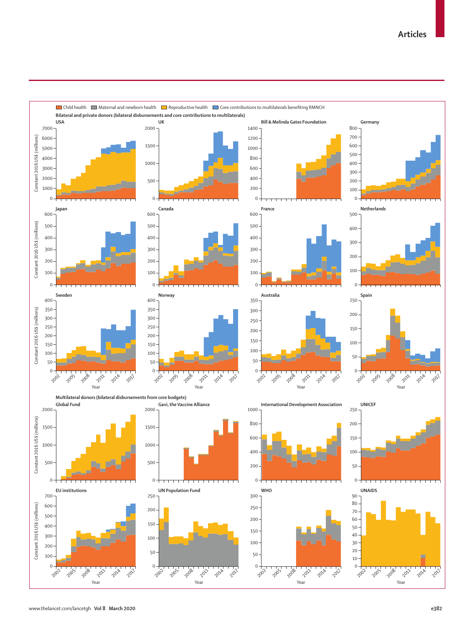

## www.thelancet.com/lancetgh **Vol 8 March 2020 e382**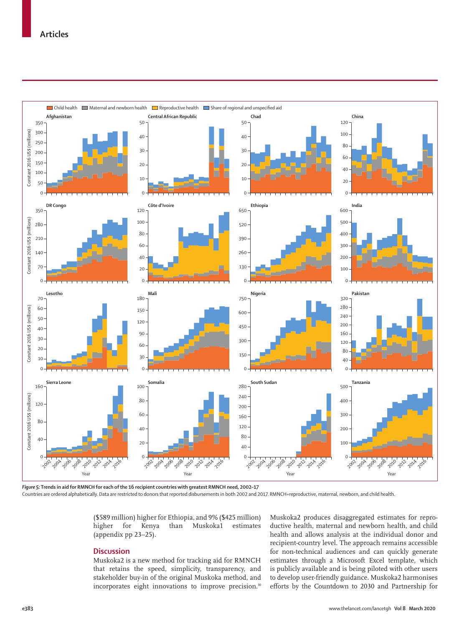

*Figure 5:* **Trends in aid for RMNCH for each of the 16 recipient countries with greatest RMNCH need, 2002–17**

Countries are ordered alphabetically. Data are restricted to donors that reported disbursements in both 2002 and 2017. RMNCH=reproductive, maternal, newborn, and child health.

(\$589 million) higher for Ethiopia, and 9% (\$425 million) higher for Kenya than Muskoka1 estimates (appendix pp 23–25).

## **Discussion**

Muskoka2 is a new method for tracking aid for RMNCH that retains the speed, simplicity, transparency, and stakeholder buy-in of the original Muskoka method, and incorporates eight innovations to improve precision.<sup>10</sup> Muskoka2 produces disaggregated estimates for reproductive health, maternal and newborn health, and child health and allows analysis at the individual donor and recipient-country level. The approach remains accessible for non-technical audiences and can quickly generate estimates through a Microsoft Excel template, which is publicly available and is being piloted with other users to develop user-friendly guidance. Muskoka2 harmonises efforts by the Countdown to 2030 and Partnership for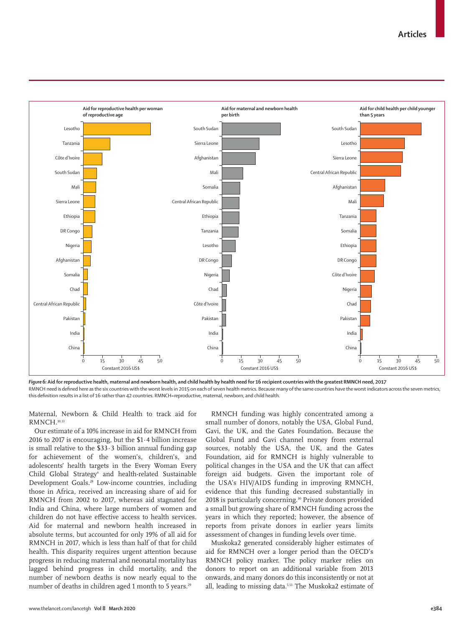

*Figure 6:* **Aid for reproductive health, maternal and newborn health, and child health by health need for 16 recipient countries with the greatest RMNCH need, 2017** RMNCH need is defined here as the six countries with the worst levels in 2015 on each of seven health metrics. Because many of the same countries have the worst indicators across the seven metrics, this definition results in a list of 16 rather than 42 countries. RMNCH=reproductive, maternal, newborn, and child health.

Maternal, Newborn & Child Health to track aid for RMNCH.10,13

Our estimate of a 10% increase in aid for RMNCH from 2016 to 2017 is encouraging, but the \$1·4 billion increase is small relative to the  $$33.3$  billion annual funding gap for achievement of the women's, children's, and adolescents' health targets in the Every Woman Every Child Global Strategy<sup>4</sup> and health-related Sustainable Development Goals.28 Low-income countries, including those in Africa, received an increasing share of aid for RMNCH from 2002 to 2017, whereas aid stagnated for India and China, where large numbers of women and children do not have effective access to health services. Aid for maternal and newborn health increased in absolute terms, but accounted for only 19% of all aid for RMNCH in 2017, which is less than half of that for child health. This disparity requires urgent attention because progress in reducing maternal and neonatal mortality has lagged behind progress in child mortality, and the number of newborn deaths is now nearly equal to the number of deaths in children aged 1 month to 5 years.<sup>29</sup>

RMNCH funding was highly concentrated among a small number of donors, notably the USA, Global Fund, Gavi, the UK, and the Gates Foundation. Because the Global Fund and Gavi channel money from external sources, notably the USA, the UK, and the Gates Foundation, aid for RMNCH is highly vulnerable to political changes in the USA and the UK that can affect foreign aid budgets. Given the important role of the USA's HIV/AIDS funding in improving RMNCH, evidence that this funding decreased substantially in 2018 is particularly concerning.<sup>30</sup> Private donors provided a small but growing share of RMNCH funding across the years in which they reported; however, the absence of reports from private donors in earlier years limits assessment of changes in funding levels over time.

Muskoka2 generated considerably higher estimates of aid for RMNCH over a longer period than the OECD's RMNCH policy marker. The policy marker relies on donors to report on an additional variable from 2013 onwards, and many donors do this inconsistently or not at all, leading to missing data.5,13 The Muskoka2 estimate of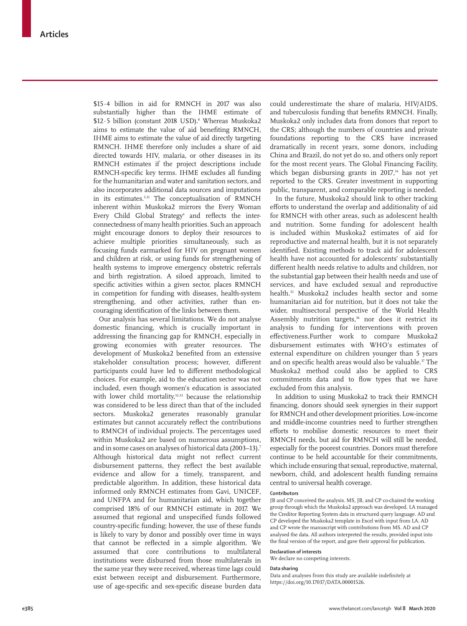\$15·4 billion in aid for RMNCH in 2017 was also substantially higher than the IHME estimate of \$12.5 billion (constant 2018 USD).<sup>8</sup> Whereas Muskoka2 aims to estimate the value of aid benefiting RMNCH, IHME aims to estimate the value of aid directly targeting RMNCH. IHME therefore only includes a share of aid directed towards HIV, malaria, or other diseases in its RMNCH estimates if the project descriptions include RMNCH-specific key terms. IHME excludes all funding for the humanitarian and water and sanitation sectors, and also incorporates additional data sources and imputations in its estimates.<sup>5,31</sup> The conceptualisation of RMNCH inherent within Muskoka2 mirrors the Every Woman Every Child Global Strategy<sup>4</sup> and reflects the interconnectedness of many health priorities. Such an approach might encourage donors to deploy their resources to achieve multiple priorities simultaneously, such as focusing funds earmarked for HIV on pregnant women and children at risk, or using funds for strengthening of health systems to improve emergency obstetric referrals and birth registration. A siloed approach, limited to specific activities within a given sector, places RMNCH in competition for funding with diseases, health-system strengthening, and other activities, rather than encouraging identification of the links between them.

Our analysis has several limitations. We do not analyse domestic financing, which is crucially important in addressing the financing gap for RMNCH, especially in growing economies with greater resources. The development of Muskoka2 benefited from an extensive stakeholder consultation process; however, different participants could have led to different methodological choices. For example, aid to the education sector was not included, even though women's education is associated with lower child mortality, $32,33$  because the relationship was considered to be less direct than that of the included sectors. Muskoka2 generates reasonably granular estimates but cannot accurately reflect the contributions to RMNCH of individual projects. The percentages used within Muskoka2 are based on numerous assumptions, and in some cases on analyses of historical data (2003–13).7 Although historical data might not reflect current disbursement patterns, they reflect the best available evidence and allow for a timely, transparent, and predictable algorithm. In addition, these historical data informed only RMNCH estimates from Gavi, UNICEF, and UNFPA and for humanitarian aid, which together comprised 18% of our RMNCH estimate in 2017. We assumed that regional and unspecified funds followed country-specific funding; however, the use of these funds is likely to vary by donor and possibly over time in ways that cannot be reflected in a simple algorithm. We assumed that core contributions to multilateral institutions were disbursed from those multilaterals in the same year they were received, whereas time lags could exist between receipt and disbursement. Furthermore, use of age-specific and sex-specific disease burden data could underestimate the share of malaria, HIV/AIDS, and tuberculosis funding that benefits RMNCH. Finally, Muskoka2 only includes data from donors that report to the CRS; although the numbers of countries and private foundations reporting to the CRS have increased dramatically in recent years, some donors, including China and Brazil, do not yet do so, and others only report for the most recent years. The Global Financing Facility, which began disbursing grants in  $2017$ ,<sup>34</sup> has not yet reported to the CRS. Greater investment in supporting public, transparent, and comparable reporting is needed.

In the future, Muskoka2 should link to other tracking efforts to understand the overlap and additionality of aid for RMNCH with other areas, such as adolescent health and nutrition. Some funding for adolescent health is included within Muskoka2 estimates of aid for reproductive and maternal health, but it is not separately identified. Existing methods to track aid for adolescent health have not accounted for adolescents' substantially different health needs relative to adults and children, nor the substantial gap between their health needs and use of services, and have excluded sexual and reproductive health.<sup>35</sup> Muskoka2 includes health sector and some humanitarian aid for nutrition, but it does not take the wider, multisectoral perspective of the World Health Assembly nutrition targets,<sup>36</sup> nor does it restrict its analysis to funding for interventions with proven effectiveness.Further work to compare Muskoka2 disbursement estimates with WHO's estimates of external expenditure on children younger than 5 years and on specific health areas would also be valuable.<sup>37</sup> The Muskoka2 method could also be applied to CRS commitments data and to flow types that we have excluded from this analysis.

In addition to using Muskoka2 to track their RMNCH financing, donors should seek synergies in their support for RMNCH and other development priorities. Low-income and middle-income countries need to further strengthen efforts to mobilise domestic resources to meet their RMNCH needs, but aid for RMNCH will still be needed, especially for the poorest countries. Donors must therefore continue to be held accountable for their commitments, which include ensuring that sexual, reproductive, maternal, newborn, child, and adolescent health funding remains central to universal health coverage.

#### **Contributors**

JB and CP conceived the analysis. MS, JB, and CP co-chaired the working group through which the Muskoka2 approach was developed. LA managed the Creditor Reporting System data in structured query language. AD and CP developed the Muskoka2 template in Excel with input from LA. AD and CP wrote the manuscript with contributions from MS. AD and CP analysed the data. All authors interpreted the results, provided input into the final version of the report, and gave their approval for publication.

#### **Declaration of interests**

We declare no competing interests.

## **Data sharing**

Data and analyses from this study are available indefinitely at https://doi.org/10.17037/DATA.00001526.